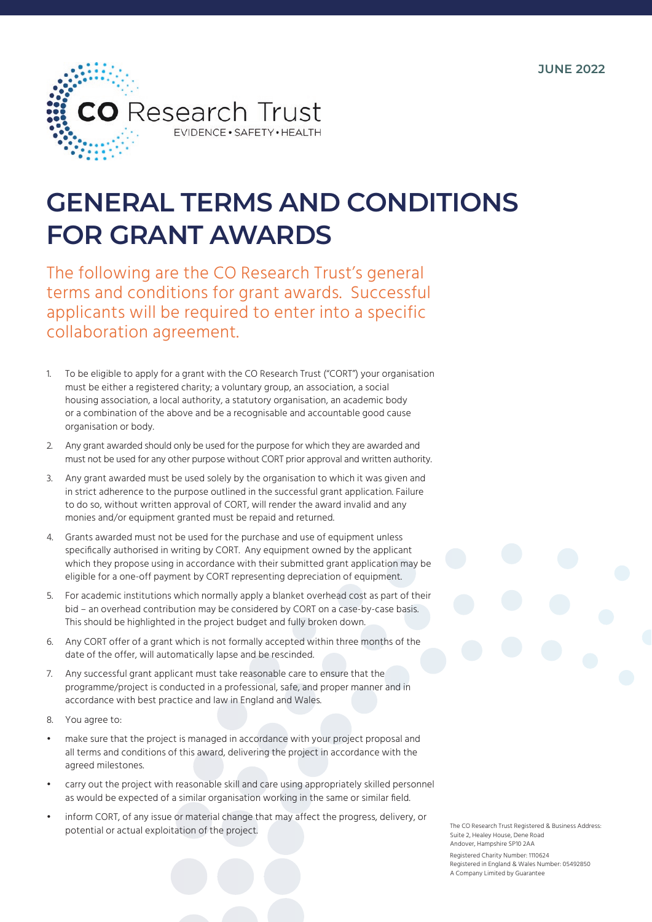**JUNE 2022**



## **GENERAL TERMS AND CONDITIONS FOR GRANT AWARDS**

The following are the CO Research Trust's general terms and conditions for grant awards. Successful applicants will be required to enter into a specific collaboration agreement.

- 1. To be eligible to apply for a grant with the CO Research Trust ("CORT") your organisation must be either a registered charity; a voluntary group, an association, a social housing association, a local authority, a statutory organisation, an academic body or a combination of the above and be a recognisable and accountable good cause organisation or body.
- 2. Any grant awarded should only be used for the purpose for which they are awarded and must not be used for any other purpose without CORT prior approval and written authority.
- 3. Any grant awarded must be used solely by the organisation to which it was given and in strict adherence to the purpose outlined in the successful grant application. Failure to do so, without written approval of CORT, will render the award invalid and any monies and/or equipment granted must be repaid and returned.
- 4. Grants awarded must not be used for the purchase and use of equipment unless specifically authorised in writing by CORT. Any equipment owned by the applicant which they propose using in accordance with their submitted grant application may be eligible for a one-off payment by CORT representing depreciation of equipment.
- 5. For academic institutions which normally apply a blanket overhead cost as part of their bid – an overhead contribution may be considered by CORT on a case-by-case basis. This should be highlighted in the project budget and fully broken down.
- 6. Any CORT offer of a grant which is not formally accepted within three months of the date of the offer, will automatically lapse and be rescinded.
- 7. Any successful grant applicant must take reasonable care to ensure that the programme/project is conducted in a professional, safe, and proper manner and in accordance with best practice and law in England and Wales.
- 8. You agree to:
- make sure that the project is managed in accordance with your project proposal and all terms and conditions of this award, delivering the project in accordance with the agreed milestones.
- carry out the project with reasonable skill and care using appropriately skilled personnel as would be expected of a similar organisation working in the same or similar field.
- inform CORT, of any issue or material change that may affect the progress, delivery, or potential or actual exploitation of the project.

The CO Research Trust Registered & Business Address: Suite 2, Healey House, Dene Road Andover, Hampshire SP10 2AA

Registered Charity Number: 1110624 Registered in England & Wales Number: 05492850 A Company Limited by Guarantee